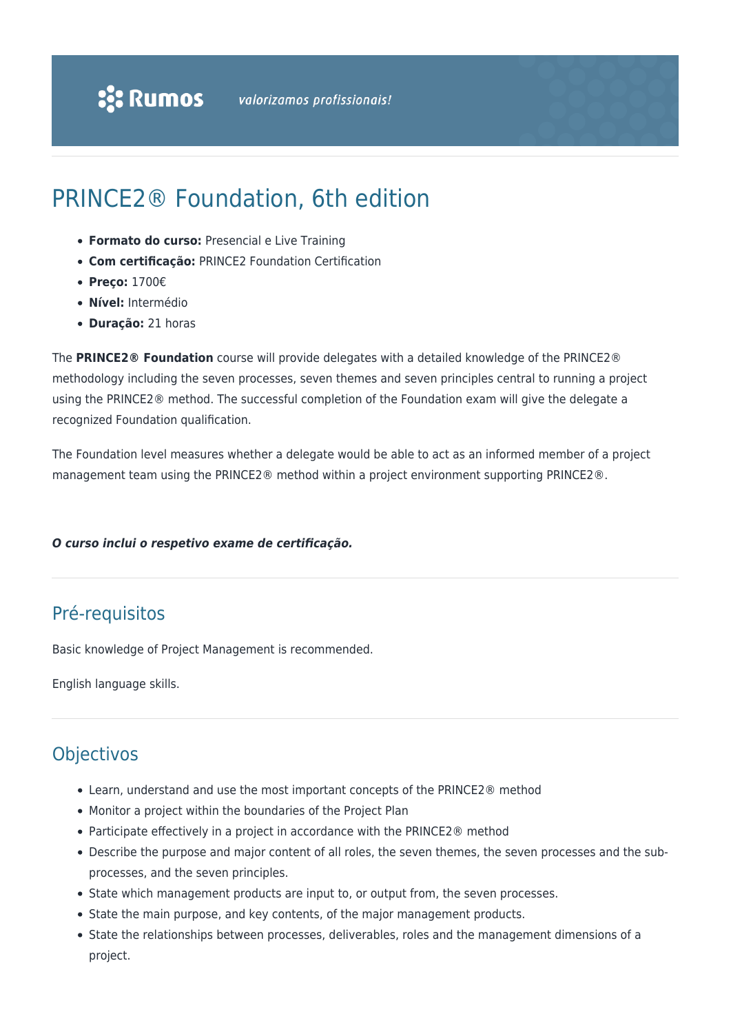## PRINCE2® Foundation, 6th edition

- **Formato do curso:** Presencial e Live Training
- **Com certificação:** PRINCE2 Foundation Certification
- **Preço:** 1700€
- **Nível:** Intermédio
- **Duração:** 21 horas

The **PRINCE2® Foundation** course will provide delegates with a detailed knowledge of the PRINCE2® methodology including the seven processes, seven themes and seven principles central to running a project using the PRINCE2® method. The successful completion of the Foundation exam will give the delegate a recognized Foundation qualification.

The Foundation level measures whether a delegate would be able to act as an informed member of a project management team using the PRINCE2® method within a project environment supporting PRINCE2®.

## *O curso inclui o respetivo exame de certificação.*

## Pré-requisitos

Basic knowledge of Project Management is recommended.

English language skills.

## **Objectivos**

- Learn, understand and use the most important concepts of the PRINCE2® method
- Monitor a project within the boundaries of the Project Plan
- Participate effectively in a project in accordance with the PRINCE2® method
- Describe the purpose and major content of all roles, the seven themes, the seven processes and the subprocesses, and the seven principles.
- State which management products are input to, or output from, the seven processes.
- State the main purpose, and key contents, of the major management products.
- State the relationships between processes, deliverables, roles and the management dimensions of a project.